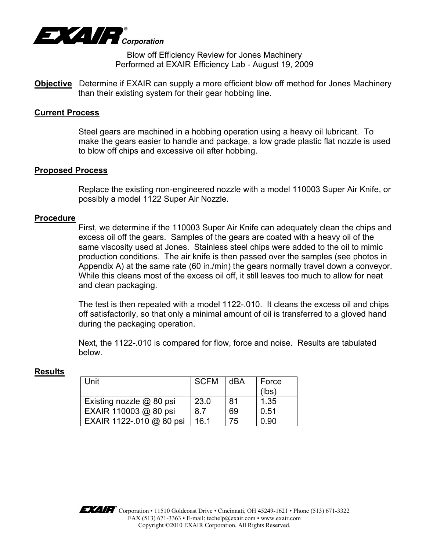

Blow off Efficiency Review for Jones Machinery Performed at EXAIR Efficiency Lab - August 19, 2009

**Objective** Determine if EXAIR can supply a more efficient blow off method for Jones Machinery than their existing system for their gear hobbing line.

#### **Current Process**

Steel gears are machined in a hobbing operation using a heavy oil lubricant. To make the gears easier to handle and package, a low grade plastic flat nozzle is used to blow off chips and excessive oil after hobbing.

#### **Proposed Process**

 Replace the existing non-engineered nozzle with a model 110003 Super Air Knife, or possibly a model 1122 Super Air Nozzle.

#### **Procedure**

First, we determine if the 110003 Super Air Knife can adequately clean the chips and excess oil off the gears. Samples of the gears are coated with a heavy oil of the same viscosity used at Jones. Stainless steel chips were added to the oil to mimic production conditions. The air knife is then passed over the samples (see photos in Appendix A) at the same rate (60 in./min) the gears normally travel down a conveyor. While this cleans most of the excess oil off, it still leaves too much to allow for neat and clean packaging.

The test is then repeated with a model 1122-.010. It cleans the excess oil and chips off satisfactorily, so that only a minimal amount of oil is transferred to a gloved hand during the packaging operation.

Next, the 1122-.010 is compared for flow, force and noise. Results are tabulated below.

| Unit                     | <b>SCFM</b> | dBA | Force<br>(lbs) |
|--------------------------|-------------|-----|----------------|
| Existing nozzle @ 80 psi | 23.0        | 81  | 1.35           |
| EXAIR 110003 @ 80 psi    | 8.7         | 69  | 0.51           |
| EXAIR 1122-.010 @ 80 psi | 16.1        | 75  | 0.90           |

#### **Results**

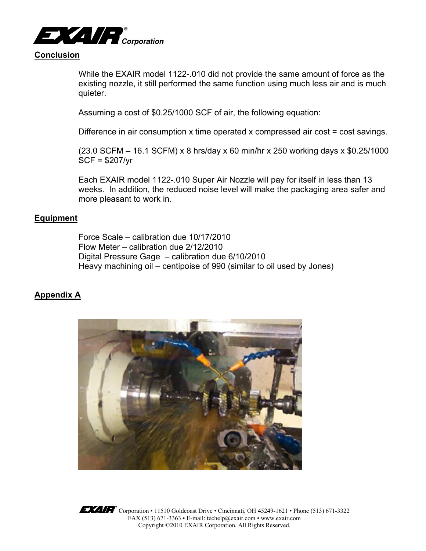

# **Conclusion**

While the EXAIR model 1122-.010 did not provide the same amount of force as the existing nozzle, it still performed the same function using much less air and is much quieter.

Assuming a cost of \$0.25/1000 SCF of air, the following equation:

Difference in air consumption x time operated x compressed air cost = cost savings.

(23.0 SCFM – 16.1 SCFM) x 8 hrs/day x 60 min/hr x 250 working days x \$0.25/1000 SCF = \$207/yr

Each EXAIR model 1122-.010 Super Air Nozzle will pay for itself in less than 13 weeks. In addition, the reduced noise level will make the packaging area safer and more pleasant to work in.

### **Equipment**

Force Scale – calibration due 10/17/2010 Flow Meter – calibration due 2/12/2010 Digital Pressure Gage – calibration due 6/10/2010 Heavy machining oil – centipoise of 990 (similar to oil used by Jones)

## **Appendix A**